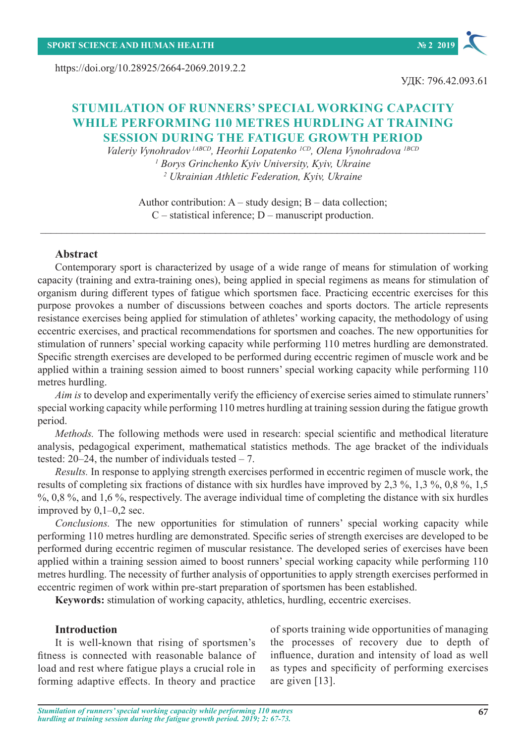https://doi.org/10.28925/2664-2069.2019.2.2



# **STUMILATION OF RUNNERS' SPECIAL WORKING CAPACITY WHILE PERFORMING 110 METRES HURDLING AT TRAINING SESSION DURING THE FATIGUE GROWTH PERIOD**

*Valeriy Vynohradov 1АBCD, Heorhii Lopatenko 1CD, Olena Vynohradova 1BCD 1 Borys Grinchenko Kyiv University, Kyiv, Ukraine 2 Ukrainian Athletic Federation, Kyiv, Ukraine*

Author contribution:  $A$  – study design;  $B$  – data collection; C – statistical inference; D – manuscript production.

#### **Abstract**

Contemporary sport is characterized by usage of a wide range of means for stimulation of working capacity (training and extra-training ones), being applied in special regimens as means for stimulation of organism during different types of fatigue which sportsmen face. Practicing eccentric exercises for this purpose provokes a number of discussions between coaches and sports doctors. The article represents resistance exercises being applied for stimulation of athletes' working capacity, the methodology of using eccentric exercises, and practical recommendations for sportsmen and coaches. The new opportunities for stimulation of runners' special working capacity while performing 110 metres hurdling are demonstrated. Specific strength exercises are developed to be performed during eccentric regimen of muscle work and be applied within a training session aimed to boost runners' special working capacity while performing 110 metres hurdling.

*Aim is* to develop and experimentally verify the efficiency of exercise series aimed to stimulate runners' special working capacity while performing 110 metres hurdling at training session during the fatigue growth period.

*Methods*. The following methods were used in research: special scientific and methodical literature analysis, pedagogical experiment, mathematical statistics methods. The age bracket of the individuals tested:  $20-24$ , the number of individuals tested  $-7$ .

*Results.* In response to applying strength exercises performed in eccentric regimen of muscle work, the results of completing six fractions of distance with six hurdles have improved by 2,3 %, 1,3 %, 0,8 %, 1,5 %, 0,8%, and 1,6%, respectively. The average individual time of completing the distance with six hurdles improved by  $0,1-0,2$  sec.

*Conclusions.* The new opportunities for stimulation of runners' special working capacity while performing 110 metres hurdling are demonstrated. Specific series of strength exercises are developed to be performed during eccentric regimen of muscular resistance. The developed series of exercises have been applied within a training session aimed to boost runners' special working capacity while performing 110 metres hurdling. The necessity of further analysis of opportunities to apply strength exercises performed in eccentric regimen of work within pre-start preparation of sportsmen has been established.

**Keywords:** stimulation of working capacity, athletics, hurdling, eccentric exercises.

#### **Introduction**

It is well-known that rising of sportsmen's fitness is connected with reasonable balance of load and rest where fatigue plays a crucial role in forming adaptive effects. In theory and practice

of sports training wide opportunities of managing the processes of recovery due to depth of influence, duration and intensity of load as well as types and specificity of performing exercises are given [13].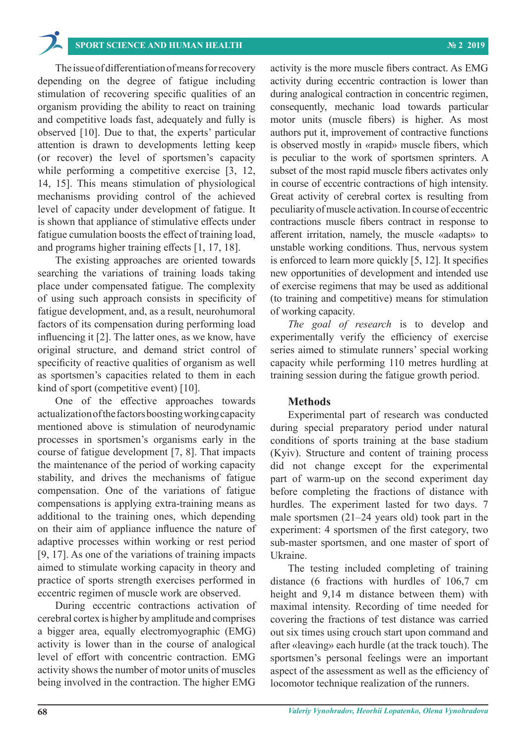# **SPORT SCIENCE AND HUMAN HEALTH № 2 2019**

The issue of differentiation of means for recovery depending on the degree of fatigue including stimulation of recovering specific qualities of an organism providing the ability to react on training and competitive loads fast, adequately and fully is observed [10]. Due to that, the experts' particular attention is drawn to developments letting keep (or recover) the level of sportsmen's capacity while performing a competitive exercise [3, 12, 14, 15]. This means stimulation of physiological mechanisms providing control of the achieved level of capacity under development of fatigue. It is shown that appliance of stimulative effects under fatigue cumulation boosts the effect of training load, and programs higher training effects [1, 17, 18].

The existing approaches are oriented towards searching the variations of training loads taking place under compensated fatigue. The complexity of using such approach consists in specificity of fatigue development, and, as a result, neurohumoral factors of its compensation during performing load influencing it [2]. The latter ones, as we know, have original structure, and demand strict control of specificity of reactive qualities of organism as well as sportsmen's capacities related to them in each kind of sport (competitive event) [10].

One of the effective approaches towards actualization of the factors boosting working capacity mentioned above is stimulation of neurodynamic processes in sportsmen's organisms early in the course of fatigue development [7, 8]. That impacts the maintenance of the period of working capacity stability, and drives the mechanisms of fatigue compensation. One of the variations of fatigue compensations is applying extra-training means as additional to the training ones, which depending on their aim of appliance influence the nature of adaptive processes within working or rest period [9, 17]. As one of the variations of training impacts aimed to stimulate working capacity in theory and practice of sports strength exercises performed in eccentric regimen of muscle work are observed.

During eccentric contractions activation of cerebral cortex is higher by amplitude and comprises a bigger area, equally electromyographic (EMG) activity is lower than in the course of analogical level of effort with concentric contraction. EMG activity shows the number of motor units of muscles being involved in the contraction. The higher EMG

activity is the more muscle fibers contract. As EMG activity during eccentric contraction is lower than during analogical contraction in concentric regimen, consequently, mechanic load towards particular motor units (muscle fibers) is higher. As most authors put it, improvement of contractive functions is observed mostly in «rapid» muscle fibers, which is peculiar to the work of sportsmen sprinters. A subset of the most rapid muscle fibers activates only in course of eccentric contractions of high intensity. Great activity of cerebral cortex is resulting from peculiarity of muscle activation. In course of eccentric contractions muscle fibers contract in response to afferent irritation, namely, the muscle «adapts» to unstable working conditions. Thus, nervous system is enforced to learn more quickly [5, 12]. It specifies new opportunities of development and intended use of exercise regimens that may be used as additional (to training and competitive) means for stimulation of working capacity.

*The goal of research* is to develop and experimentally verify the efficiency of exercise series aimed to stimulate runners' special working capacity while performing 110 metres hurdling at training session during the fatigue growth period.

#### **Methods**

Experimental part of research was conducted during special preparatory period under natural conditions of sports training at the base stadium (Kyiv). Structure and content of training process did not change except for the experimental part of warm-up on the second experiment day before completing the fractions of distance with hurdles. The experiment lasted for two days. 7 male sportsmen (21–24 years old) took part in the experiment: 4 sportsmen of the first category, two sub-master sportsmen, and one master of sport of Ukraine.

The testing included completing of training distance (6 fractions with hurdles of 106,7 cm height and 9,14 m distance between them) with maximal intensity. Recording of time needed for covering the fractions of test distance was carried out six times using crouch start upon command and after «leaving» each hurdle (at the track touch). The sportsmen's personal feelings were an important aspect of the assessment as well as the efficiency of locomotor technique realization of the runners.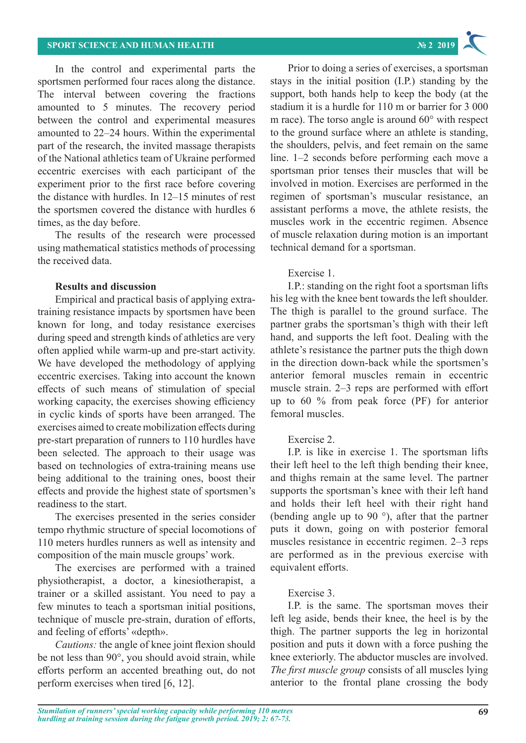In the control and experimental parts the sportsmen performed four races along the distance. The interval between covering the fractions amounted to 5 minutes. The recovery period between the control and experimental measures amounted to 22–24 hours. Within the experimental part of the research, the invited massage therapists of the National athletics team of Ukraine performed eccentric exercises with each participant of the experiment prior to the first race before covering the distance with hurdles. In 12–15 minutes of rest the sportsmen covered the distance with hurdles 6 times, as the day before.

The results of the research were processed using mathematical statistics methods of processing the received data.

### **Results and discussion**

Empirical and practical basis of applying extratraining resistance impacts by sportsmen have been known for long, and today resistance exercises during speed and strength kinds of athletics are very often applied while warm-up and pre-start activity. We have developed the methodology of applying eccentric exercises. Taking into account the known effects of such means of stimulation of special working capacity, the exercises showing efficiency in cyclic kinds of sports have been arranged. The exercises aimed to create mobilization effects during pre-start preparation of runners to 110 hurdles have been selected. The approach to their usage was based on technologies of extra-training means use being additional to the training ones, boost their effects and provide the highest state of sportsmen's readiness to the start.

The exercises presented in the series consider tempo rhythmic structure of special locomotions of 110 meters hurdles runners as well as intensity and composition of the main muscle groups' work.

The exercises are performed with a trained physiotherapist, a doctor, a kinesiotherapist, a trainer or a skilled assistant. You need to pay a few minutes to teach a sportsman initial positions, technique of muscle pre-strain, duration of efforts, and feeling of efforts' «depth».

*Cautions:* the angle of knee joint flexion should be not less than 90°, you should avoid strain, while efforts perform an accented breathing out, do not perform exercises when tired [6, 12].

Prior to doing a series of exercises, a sportsman stays in the initial position (I.P.) standing by the support, both hands help to keep the body (at the stadium it is a hurdle for 110 m or barrier for 3 000 m race). The torso angle is around 60° with respect to the ground surface where an athlete is standing, the shoulders, pelvis, and feet remain on the same line. 1–2 seconds before performing each move a sportsman prior tenses their muscles that will be involved in motion. Exercises are performed in the regimen of sportsman's muscular resistance, an assistant performs a move, the athlete resists, the muscles work in the eccentric regimen. Absence of muscle relaxation during motion is an important technical demand for a sportsman.

## Exercise 1.

I.P.: standing on the right foot a sportsman lifts his leg with the knee bent towards the left shoulder. The thigh is parallel to the ground surface. The partner grabs the sportsman's thigh with their left hand, and supports the left foot. Dealing with the athlete's resistance the partner puts the thigh down in the direction down-back while the sportsmen's anterior femoral muscles remain in eccentric muscle strain. 2–3 reps are performed with effort up to 60 % from peak force (PF) for anterior femoral muscles.

## Exercise 2.

I.P. is like in exercise 1. The sportsman lifts their left heel to the left thigh bending their knee, and thighs remain at the same level. The partner supports the sportsman's knee with their left hand and holds their left heel with their right hand (bending angle up to 90 °), after that the partner puts it down, going on with posterior femoral muscles resistance in eccentric regimen. 2–3 reps are performed as in the previous exercise with equivalent efforts.

## Exercise 3.

I.P. is the same. The sportsman moves their left leg aside, bends their knee, the heel is by the thigh. The partner supports the leg in horizontal position and puts it down with a force pushing the knee exteriorly. The abductor muscles are involved. *The first muscle group* consists of all muscles lying anterior to the frontal plane crossing the body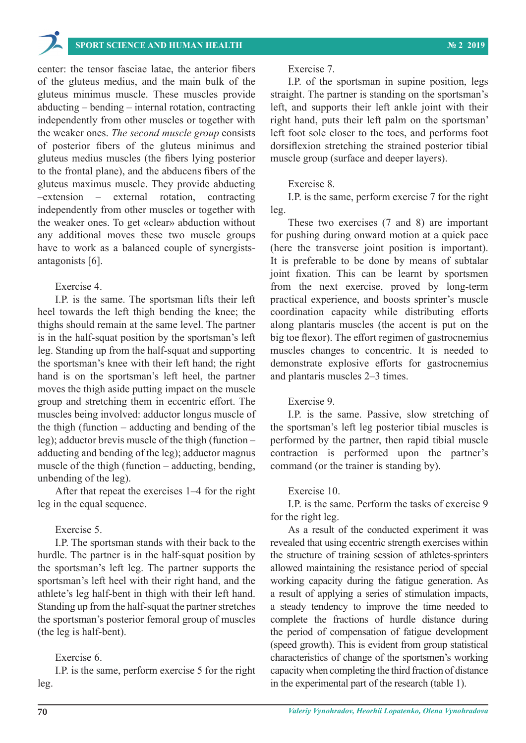

## **SPORT SCIENCE AND HUMAN HEALTH № 2 2019**

center: the tensor fasciae latae, the anterior fibers of the gluteus medius, and the main bulk of the gluteus minimus muscle. These muscles provide abducting – bending – internal rotation, contracting independently from other muscles or together with the weaker ones. *The second muscle group* consists of posterior fibers of the gluteus minimus and gluteus medius muscles (the fibers lying posterior to the frontal plane), and the abducens fibers of the gluteus maximus muscle. They provide abducting –extension – external rotation, contracting independently from other muscles or together with the weaker ones. To get «clear» abduction without any additional moves these two muscle groups have to work as a balanced couple of synergistsantagonists [6].

### Exercise 4.

I.P. is the same. The sportsman lifts their left heel towards the left thigh bending the knee; the thighs should remain at the same level. The partner is in the half-squat position by the sportsman's left leg. Standing up from the half-squat and supporting the sportsman's knee with their left hand; the right hand is on the sportsman's left heel, the partner moves the thigh aside putting impact on the muscle group and stretching them in eccentric effort. The muscles being involved: adductor longus muscle of the thigh (function – adducting and bending of the leg); adductor brevis muscle of the thigh (function – adducting and bending of the leg); adductor magnus muscle of the thigh (function – adducting, bending, unbending of the leg).

After that repeat the exercises 1–4 for the right leg in the equal sequence.

#### Exercise 5.

I.P. The sportsman stands with their back to the hurdle. The partner is in the half-squat position by the sportsman's left leg. The partner supports the sportsman's left heel with their right hand, and the athlete's leg half-bent in thigh with their left hand. Standing up from the half-squat the partner stretches the sportsman's posterior femoral group of muscles (the leg is half-bent).

#### Exercise 6.

I.P. is the same, perform exercise 5 for the right leg.

#### Exercise 7.

I.P. of the sportsman in supine position, legs straight. The partner is standing on the sportsman's left, and supports their left ankle joint with their right hand, puts their left palm on the sportsman' left foot sole closer to the toes, and performs foot dorsiflexion stretching the strained posterior tibial muscle group (surface and deeper layers).

#### Exercise 8.

I.P. is the same, perform exercise 7 for the right leg.

These two exercises (7 and 8) are important for pushing during onward motion at a quick pace (here the transverse joint position is important). It is preferable to be done by means of subtalar joint fixation. This can be learnt by sportsmen from the next exercise, proved by long-term practical experience, and boosts sprinter's muscle coordination capacity while distributing efforts along plantaris muscles (the accent is put on the big toe flexor). The effort regimen of gastrocnemius muscles changes to concentric. It is needed to demonstrate explosive efforts for gastrocnemius and plantaris muscles 2–3 times.

#### Exercise 9.

I.P. is the same. Passive, slow stretching of the sportsman's left leg posterior tibial muscles is performed by the partner, then rapid tibial muscle contraction is performed upon the partner's command (or the trainer is standing by).

#### Exercise 10.

I.P. is the same. Perform the tasks of exercise 9 for the right leg.

As a result of the conducted experiment it was revealed that using eccentric strength exercises within the structure of training session of athletes-sprinters allowed maintaining the resistance period of special working capacity during the fatigue generation. As a result of applying a series of stimulation impacts, a steady tendency to improve the time needed to complete the fractions of hurdle distance during the period of compensation of fatigue development (speed growth). This is evident from group statistical characteristics of change of the sportsmen's working capacity when completing the third fraction of distance in the experimental part of the research (table 1).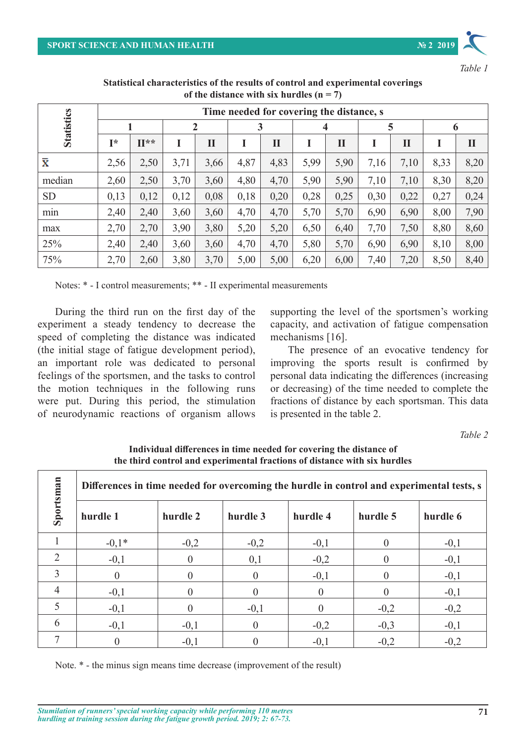

*Table 1*

|                    | Time needed for covering the distance, s |            |      |             |      |              |      |             |      |              |      |              |
|--------------------|------------------------------------------|------------|------|-------------|------|--------------|------|-------------|------|--------------|------|--------------|
| <b>Statistics</b>  |                                          |            | 2    |             | 3    |              | 4    |             | 5    |              | 6    |              |
|                    | Ī*                                       | $\Pi^{**}$ |      | $\mathbf I$ | I    | $\mathbf{I}$ |      | $\mathbf H$ |      | $\mathbf{I}$ |      | $\mathbf{I}$ |
| $\bar{\textbf{x}}$ | 2,56                                     | 2,50       | 3,71 | 3,66        | 4,87 | 4,83         | 5,99 | 5,90        | 7,16 | 7,10         | 8,33 | 8,20         |
| median             | 2,60                                     | 2,50       | 3,70 | 3,60        | 4,80 | 4,70         | 5,90 | 5,90        | 7,10 | 7,10         | 8,30 | 8,20         |
| <b>SD</b>          | 0,13                                     | 0,12       | 0,12 | 0,08        | 0,18 | 0,20         | 0,28 | 0,25        | 0,30 | 0,22         | 0,27 | 0,24         |
| min                | 2,40                                     | 2,40       | 3,60 | 3,60        | 4,70 | 4,70         | 5,70 | 5,70        | 6,90 | 6,90         | 8,00 | 7,90         |
| max                | 2,70                                     | 2,70       | 3,90 | 3,80        | 5,20 | 5,20         | 6,50 | 6,40        | 7,70 | 7,50         | 8,80 | 8,60         |
| 25%                | 2,40                                     | 2,40       | 3,60 | 3,60        | 4,70 | 4,70         | 5,80 | 5,70        | 6,90 | 6,90         | 8,10 | 8,00         |
| 75%                | 2,70                                     | 2,60       | 3,80 | 3,70        | 5,00 | 5,00         | 6,20 | 6,00        | 7,40 | 7,20         | 8,50 | 8,40         |

**Statistical characteristics of the results of control and experimental coverings of the distance with six hurdles (n = 7)**

Notes: \* - I control measurements; \*\* - II experimental measurements

During the third run on the first day of the experiment a steady tendency to decrease the speed of completing the distance was indicated (the initial stage of fatigue development period), an important role was dedicated to personal feelings of the sportsmen, and the tasks to control the motion techniques in the following runs were put. During this period, the stimulation of neurodynamic reactions of organism allows supporting the level of the sportsmen's working capacity, and activation of fatigue compensation mechanisms [16].

The presence of an evocative tendency for improving the sports result is confirmed by personal data indicating the differences (increasing or decreasing) of the time needed to complete the fractions of distance by each sportsman. This data is presented in the table 2.

*Table 2*

**Individual differences in time needed for covering the distance of the third control and experimental fractions of distance with six hurdles**

| Sportsman                     | Differences in time needed for overcoming the hurdle in control and experimental tests, s |          |                |          |          |          |  |  |  |  |
|-------------------------------|-------------------------------------------------------------------------------------------|----------|----------------|----------|----------|----------|--|--|--|--|
|                               | hurdle 1                                                                                  | hurdle 2 | hurdle 3       | hurdle 4 | hurdle 5 | hurdle 6 |  |  |  |  |
|                               | $-0,1*$                                                                                   | $-0,2$   | $-0,2$         | $-0,1$   | $\theta$ | $-0,1$   |  |  |  |  |
| $\mathfrak{D}_{\mathfrak{p}}$ | $-0,1$                                                                                    |          | 0,1            | $-0,2$   |          | $-0,1$   |  |  |  |  |
| 3                             | $\theta$                                                                                  |          | $\overline{0}$ | $-0,1$   | $\theta$ | $-0,1$   |  |  |  |  |
| 4                             | $-0,1$                                                                                    |          | 0              | $\Omega$ |          | $-0,1$   |  |  |  |  |
| 5                             | $-0,1$                                                                                    |          | $-0,1$         |          | $-0,2$   | $-0,2$   |  |  |  |  |
| 6                             | $-0,1$                                                                                    | $-0,1$   | $\theta$       | $-0,2$   | $-0,3$   | $-0,1$   |  |  |  |  |
|                               | $\theta$                                                                                  | $-0.1$   | $\theta$       | $-0,1$   | $-0,2$   | $-0,2$   |  |  |  |  |

Note. \* - the minus sign means time decrease (improvement of the result)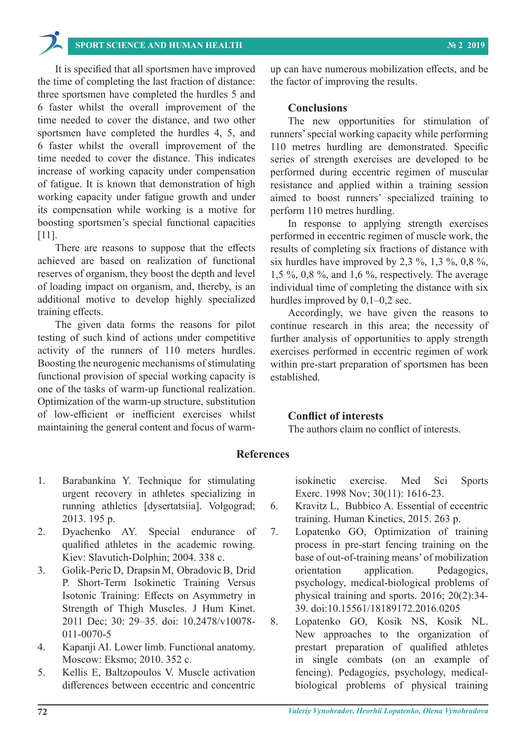## **SPORT SCIENCE AND HUMAN HEALTH № 2 2019**

It is specified that all sportsmen have improved the time of completing the last fraction of distance: three sportsmen have completed the hurdles 5 and 6 faster whilst the overall improvement of the time needed to cover the distance, and two other sportsmen have completed the hurdles 4, 5, and 6 faster whilst the overall improvement of the time needed to cover the distance. This indicates increase of working capacity under compensation of fatigue. It is known that demonstration of high working capacity under fatigue growth and under its compensation while working is a motive for boosting sportsmen's special functional capacities [11].

There are reasons to suppose that the effects achieved are based on realization of functional reserves of organism, they boost the depth and level of loading impact on organism, and, thereby, is an additional motive to develop highly specialized training effects.

The given data forms the reasons for pilot testing of such kind of actions under competitive activity of the runners of 110 meters hurdles. Boosting the neurogenic mechanisms of stimulating functional provision of special working capacity is one of the tasks of warm-up functional realization. Optimization of the warm-up structure, substitution of low-efficient or inefficient exercises whilst maintaining the general content and focus of warmup can have numerous mobilization effects, and be the factor of improving the results.

#### **Conclusions**

The new opportunities for stimulation of runners' special working capacity while performing 110 metres hurdling are demonstrated. Specific series of strength exercises are developed to be performed during eccentric regimen of muscular resistance and applied within a training session aimed to boost runners' specialized training to perform 110 metres hurdling.

In response to applying strength exercises performed in eccentric regimen of muscle work, the results of completing six fractions of distance with six hurdles have improved by 2,3 %, 1,3 %, 0,8 %, 1,5 %, 0,8 %, and 1,6 %, respectively. The average individual time of completing the distance with six hurdles improved by 0,1–0,2 sec.

Accordingly, we have given the reasons to continue research in this area; the necessity of further analysis of opportunities to apply strength exercises performed in eccentric regimen of work within pre-start preparation of sportsmen has been established.

#### **Conflict of interests**

The authors claim no conflict of interests.

### **References**

- 1. Barabankina Y. Technique for stimulating urgent recovery in athletes specializing in running athletics [dysertatsiia]. Volgograd; 2013. 195 p.
- 2. Dyachenko AY. Special endurance of qualified athletes in the academic rowing. Kiev: Slavutich-Dolphin; 2004. 338 с.
- 3. Golik-Peric D, Drapsin M, Obradovic B, Drid P. Short-Term Isokinetic Training Versus Isotonic Training: Effects on Asymmetry in Strength of Thigh Muscles. J Hum Kinet. 2011 Dec; 30: 29–35. doi: 10.2478/v10078- 011-0070-5
- 4. Kapanji AI. Lower limb. Functional anatomy. Moscow: Eksmo; 2010. 352 с.
- 5. Kellis E, Baltzopoulos V. Muscle activation differences between eccentric and concentric

isokinetic exercise. Med Sci Sports Exerc. 1998 Nov; 30(11): 1616-23.

- 6. Kravitz L, Bubbico A. Essential of eccentric training. Human Kinetics, 2015. 263 p.
- 7. Lopatenko GO, Optimization of training process in pre-start fencing training on the base of out-of-training means' of mobilization orientation application. Pedagogics, psychology, medical-biological problems of physical training and sports. 2016; 20(2):34- 39. doi:10.15561/18189172.2016.0205
- 8. Lopatenko GO, Kosik NS, Kosik NL. New approaches to the organization of prestart preparation of qualified athletes in single combats (on an example of fencing). Pedagogics, psychology, medicalbiological problems of physical training